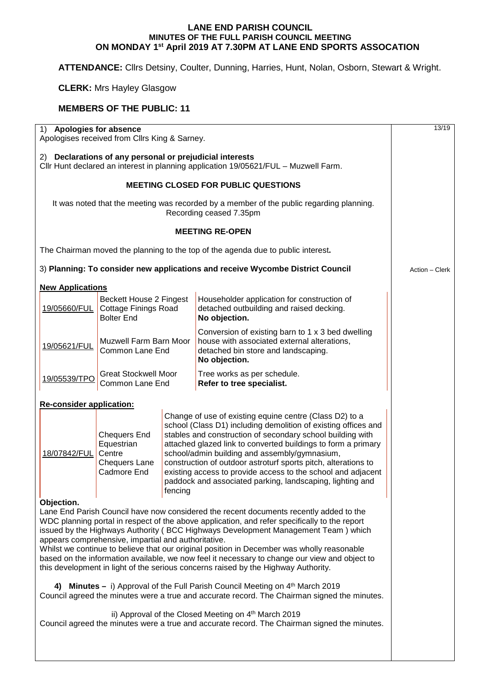## **LANE END PARISH COUNCIL MINUTES OF THE FULL PARISH COUNCIL MEETING ON MONDAY 1st April 2019 AT 7.30PM AT LANE END SPORTS ASSOCATION**

**ATTENDANCE:** Cllrs Detsiny, Coulter, Dunning, Harries, Hunt, Nolan, Osborn, Stewart & Wright.

## **CLERK:** Mrs Hayley Glasgow

## **MEMBERS OF THE PUBLIC: 11**

| 1) Apologies for absence<br>Apologises received from Cllrs King & Sarney.                                                                       |                                                                                    |                                                                                                                                                                                                                                                                                                                                                                                                                                                                                                                     |                                                                                                                                                                                                                                                                                                                                                                                                                                                                                                                                                                                                                                                                                                                                                                                                            | 13/19 |  |
|-------------------------------------------------------------------------------------------------------------------------------------------------|------------------------------------------------------------------------------------|---------------------------------------------------------------------------------------------------------------------------------------------------------------------------------------------------------------------------------------------------------------------------------------------------------------------------------------------------------------------------------------------------------------------------------------------------------------------------------------------------------------------|------------------------------------------------------------------------------------------------------------------------------------------------------------------------------------------------------------------------------------------------------------------------------------------------------------------------------------------------------------------------------------------------------------------------------------------------------------------------------------------------------------------------------------------------------------------------------------------------------------------------------------------------------------------------------------------------------------------------------------------------------------------------------------------------------------|-------|--|
| 2) Declarations of any personal or prejudicial interests<br>Cllr Hunt declared an interest in planning application 19/05621/FUL - Muzwell Farm. |                                                                                    |                                                                                                                                                                                                                                                                                                                                                                                                                                                                                                                     |                                                                                                                                                                                                                                                                                                                                                                                                                                                                                                                                                                                                                                                                                                                                                                                                            |       |  |
|                                                                                                                                                 |                                                                                    |                                                                                                                                                                                                                                                                                                                                                                                                                                                                                                                     |                                                                                                                                                                                                                                                                                                                                                                                                                                                                                                                                                                                                                                                                                                                                                                                                            |       |  |
| It was noted that the meeting was recorded by a member of the public regarding planning.                                                        |                                                                                    |                                                                                                                                                                                                                                                                                                                                                                                                                                                                                                                     |                                                                                                                                                                                                                                                                                                                                                                                                                                                                                                                                                                                                                                                                                                                                                                                                            |       |  |
|                                                                                                                                                 |                                                                                    |                                                                                                                                                                                                                                                                                                                                                                                                                                                                                                                     |                                                                                                                                                                                                                                                                                                                                                                                                                                                                                                                                                                                                                                                                                                                                                                                                            |       |  |
| The Chairman moved the planning to the top of the agenda due to public interest.                                                                |                                                                                    |                                                                                                                                                                                                                                                                                                                                                                                                                                                                                                                     |                                                                                                                                                                                                                                                                                                                                                                                                                                                                                                                                                                                                                                                                                                                                                                                                            |       |  |
| 3) Planning: To consider new applications and receive Wycombe District Council                                                                  | Action - Clerk                                                                     |                                                                                                                                                                                                                                                                                                                                                                                                                                                                                                                     |                                                                                                                                                                                                                                                                                                                                                                                                                                                                                                                                                                                                                                                                                                                                                                                                            |       |  |
| <b>New Applications</b>                                                                                                                         |                                                                                    |                                                                                                                                                                                                                                                                                                                                                                                                                                                                                                                     |                                                                                                                                                                                                                                                                                                                                                                                                                                                                                                                                                                                                                                                                                                                                                                                                            |       |  |
| 19/05660/FUL                                                                                                                                    | Beckett House 2 Fingest<br><b>Cottage Finings Road</b><br><b>Bolter End</b>        |                                                                                                                                                                                                                                                                                                                                                                                                                                                                                                                     | Householder application for construction of<br>detached outbuilding and raised decking.<br>No objection.                                                                                                                                                                                                                                                                                                                                                                                                                                                                                                                                                                                                                                                                                                   |       |  |
| 19/05621/FUL                                                                                                                                    | <b>Muzwell Farm Barn Moor</b><br>Common Lane End                                   |                                                                                                                                                                                                                                                                                                                                                                                                                                                                                                                     | Conversion of existing barn to 1 x 3 bed dwelling<br>house with associated external alterations,<br>detached bin store and landscaping.<br>No objection.                                                                                                                                                                                                                                                                                                                                                                                                                                                                                                                                                                                                                                                   |       |  |
| 19/05539/TPO                                                                                                                                    | <b>Great Stockwell Moor</b><br>Common Lane End                                     |                                                                                                                                                                                                                                                                                                                                                                                                                                                                                                                     | Tree works as per schedule.<br>Refer to tree specialist.                                                                                                                                                                                                                                                                                                                                                                                                                                                                                                                                                                                                                                                                                                                                                   |       |  |
| <b>Re-consider application:</b>                                                                                                                 |                                                                                    |                                                                                                                                                                                                                                                                                                                                                                                                                                                                                                                     |                                                                                                                                                                                                                                                                                                                                                                                                                                                                                                                                                                                                                                                                                                                                                                                                            |       |  |
| 18/07842/FUL                                                                                                                                    | <b>Chequers End</b><br>Equestrian<br>Centre<br><b>Chequers Lane</b><br>Cadmore End | Change of use of existing equine centre (Class D2) to a<br>school (Class D1) including demolition of existing offices and<br>stables and construction of secondary school building with<br>attached glazed link to converted buildings to form a primary<br>school/admin building and assembly/gymnasium,<br>construction of outdoor astroturf sports pitch, alterations to<br>existing access to provide access to the school and adjacent<br>paddock and associated parking, landscaping, lighting and<br>fencing |                                                                                                                                                                                                                                                                                                                                                                                                                                                                                                                                                                                                                                                                                                                                                                                                            |       |  |
| Objection.                                                                                                                                      | appears comprehensive, impartial and authoritative.                                |                                                                                                                                                                                                                                                                                                                                                                                                                                                                                                                     | Lane End Parish Council have now considered the recent documents recently added to the<br>WDC planning portal in respect of the above application, and refer specifically to the report<br>issued by the Highways Authority (BCC Highways Development Management Team) which<br>Whilst we continue to believe that our original position in December was wholly reasonable<br>based on the information available, we now feel it necessary to change our view and object to<br>this development in light of the serious concerns raised by the Highway Authority.<br>4) Minutes - i) Approval of the Full Parish Council Meeting on 4th March 2019<br>Council agreed the minutes were a true and accurate record. The Chairman signed the minutes.<br>ii) Approval of the Closed Meeting on 4th March 2019 |       |  |
| Council agreed the minutes were a true and accurate record. The Chairman signed the minutes.                                                    |                                                                                    |                                                                                                                                                                                                                                                                                                                                                                                                                                                                                                                     |                                                                                                                                                                                                                                                                                                                                                                                                                                                                                                                                                                                                                                                                                                                                                                                                            |       |  |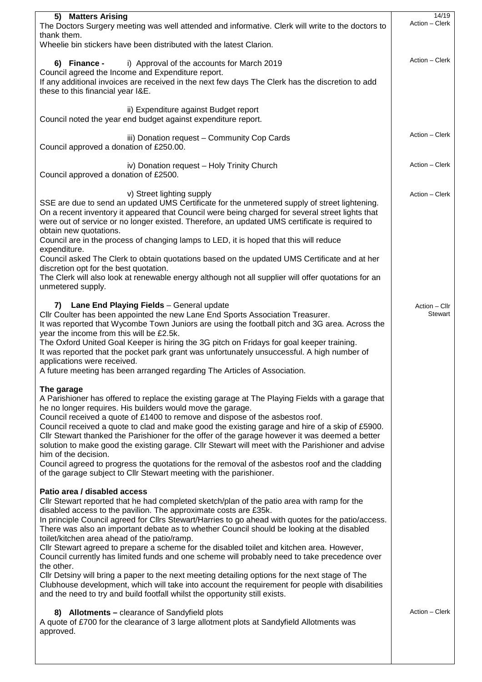| 5) Matters Arising                                                                                                                                                                                                                                                                                                                                                                                                                                                                                                                                                                                                                                                                                                                                                                                                                                                                                                                                      | 14/19                    |
|---------------------------------------------------------------------------------------------------------------------------------------------------------------------------------------------------------------------------------------------------------------------------------------------------------------------------------------------------------------------------------------------------------------------------------------------------------------------------------------------------------------------------------------------------------------------------------------------------------------------------------------------------------------------------------------------------------------------------------------------------------------------------------------------------------------------------------------------------------------------------------------------------------------------------------------------------------|--------------------------|
| The Doctors Surgery meeting was well attended and informative. Clerk will write to the doctors to<br>thank them.                                                                                                                                                                                                                                                                                                                                                                                                                                                                                                                                                                                                                                                                                                                                                                                                                                        | Action - Clerk           |
| Wheelie bin stickers have been distributed with the latest Clarion.                                                                                                                                                                                                                                                                                                                                                                                                                                                                                                                                                                                                                                                                                                                                                                                                                                                                                     |                          |
| 6) Finance -<br>i) Approval of the accounts for March 2019<br>Council agreed the Income and Expenditure report.<br>If any additional invoices are received in the next few days The Clerk has the discretion to add<br>these to this financial year I&E.                                                                                                                                                                                                                                                                                                                                                                                                                                                                                                                                                                                                                                                                                                | Action - Clerk           |
| ii) Expenditure against Budget report<br>Council noted the year end budget against expenditure report.                                                                                                                                                                                                                                                                                                                                                                                                                                                                                                                                                                                                                                                                                                                                                                                                                                                  |                          |
| iii) Donation request - Community Cop Cards<br>Council approved a donation of £250.00.                                                                                                                                                                                                                                                                                                                                                                                                                                                                                                                                                                                                                                                                                                                                                                                                                                                                  | Action - Clerk           |
| iv) Donation request - Holy Trinity Church<br>Council approved a donation of £2500.                                                                                                                                                                                                                                                                                                                                                                                                                                                                                                                                                                                                                                                                                                                                                                                                                                                                     | Action - Clerk           |
| v) Street lighting supply<br>SSE are due to send an updated UMS Certificate for the unmetered supply of street lightening.<br>On a recent inventory it appeared that Council were being charged for several street lights that<br>were out of service or no longer existed. Therefore, an updated UMS certificate is required to<br>obtain new quotations.<br>Council are in the process of changing lamps to LED, it is hoped that this will reduce<br>expenditure.<br>Council asked The Clerk to obtain quotations based on the updated UMS Certificate and at her<br>discretion opt for the best quotation.<br>The Clerk will also look at renewable energy although not all supplier will offer quotations for an<br>unmetered supply.                                                                                                                                                                                                              | Action - Clerk           |
| <b>Lane End Playing Fields</b> - General update<br>7)<br>Cllr Coulter has been appointed the new Lane End Sports Association Treasurer.<br>It was reported that Wycombe Town Juniors are using the football pitch and 3G area. Across the<br>year the income from this will be £2.5k.<br>The Oxford United Goal Keeper is hiring the 3G pitch on Fridays for goal keeper training.<br>It was reported that the pocket park grant was unfortunately unsuccessful. A high number of<br>applications were received.<br>A future meeting has been arranged regarding The Articles of Association.                                                                                                                                                                                                                                                                                                                                                           | Action - Cllr<br>Stewart |
| The garage<br>A Parishioner has offered to replace the existing garage at The Playing Fields with a garage that<br>he no longer requires. His builders would move the garage.<br>Council received a quote of £1400 to remove and dispose of the asbestos roof.<br>Council received a quote to clad and make good the existing garage and hire of a skip of £5900.<br>Cllr Stewart thanked the Parishioner for the offer of the garage however it was deemed a better<br>solution to make good the existing garage. Cllr Stewart will meet with the Parishioner and advise<br>him of the decision.<br>Council agreed to progress the quotations for the removal of the asbestos roof and the cladding<br>of the garage subject to Cllr Stewart meeting with the parishioner.                                                                                                                                                                             |                          |
| Patio area / disabled access<br>Cllr Stewart reported that he had completed sketch/plan of the patio area with ramp for the<br>disabled access to the pavilion. The approximate costs are £35k.<br>In principle Council agreed for Cllrs Stewart/Harries to go ahead with quotes for the patio/access.<br>There was also an important debate as to whether Council should be looking at the disabled<br>toilet/kitchen area ahead of the patio/ramp.<br>Cllr Stewart agreed to prepare a scheme for the disabled toilet and kitchen area. However,<br>Council currently has limited funds and one scheme will probably need to take precedence over<br>the other.<br>CIIr Detsiny will bring a paper to the next meeting detailing options for the next stage of The<br>Clubhouse development, which will take into account the requirement for people with disabilities<br>and the need to try and build footfall whilst the opportunity still exists. |                          |
| 8) Allotments - clearance of Sandyfield plots<br>A quote of £700 for the clearance of 3 large allotment plots at Sandyfield Allotments was<br>approved.                                                                                                                                                                                                                                                                                                                                                                                                                                                                                                                                                                                                                                                                                                                                                                                                 | Action - Clerk           |
|                                                                                                                                                                                                                                                                                                                                                                                                                                                                                                                                                                                                                                                                                                                                                                                                                                                                                                                                                         |                          |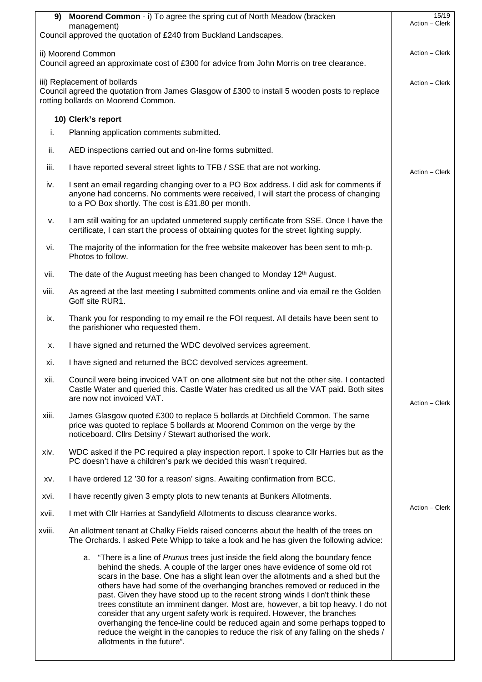|                                                                                                                                                                     | 9) Moorend Common - i) To agree the spring cut of North Meadow (bracken                                                                                                                                                                                                                                                                                                                                                                                                                                                                                                                                                                                                                                                                                                                    | 15/19<br>Action - Clerk |
|---------------------------------------------------------------------------------------------------------------------------------------------------------------------|--------------------------------------------------------------------------------------------------------------------------------------------------------------------------------------------------------------------------------------------------------------------------------------------------------------------------------------------------------------------------------------------------------------------------------------------------------------------------------------------------------------------------------------------------------------------------------------------------------------------------------------------------------------------------------------------------------------------------------------------------------------------------------------------|-------------------------|
|                                                                                                                                                                     | management)<br>Council approved the quotation of £240 from Buckland Landscapes.                                                                                                                                                                                                                                                                                                                                                                                                                                                                                                                                                                                                                                                                                                            |                         |
|                                                                                                                                                                     | ii) Moorend Common<br>Council agreed an approximate cost of £300 for advice from John Morris on tree clearance.                                                                                                                                                                                                                                                                                                                                                                                                                                                                                                                                                                                                                                                                            | Action - Clerk          |
| iii) Replacement of bollards<br>Council agreed the quotation from James Glasgow of £300 to install 5 wooden posts to replace<br>rotting bollards on Moorend Common. |                                                                                                                                                                                                                                                                                                                                                                                                                                                                                                                                                                                                                                                                                                                                                                                            |                         |
|                                                                                                                                                                     | 10) Clerk's report                                                                                                                                                                                                                                                                                                                                                                                                                                                                                                                                                                                                                                                                                                                                                                         |                         |
| i.                                                                                                                                                                  | Planning application comments submitted.                                                                                                                                                                                                                                                                                                                                                                                                                                                                                                                                                                                                                                                                                                                                                   |                         |
| ii.                                                                                                                                                                 | AED inspections carried out and on-line forms submitted.                                                                                                                                                                                                                                                                                                                                                                                                                                                                                                                                                                                                                                                                                                                                   |                         |
| iii.                                                                                                                                                                | I have reported several street lights to TFB / SSE that are not working.                                                                                                                                                                                                                                                                                                                                                                                                                                                                                                                                                                                                                                                                                                                   | Action - Clerk          |
| iv.                                                                                                                                                                 | I sent an email regarding changing over to a PO Box address. I did ask for comments if<br>anyone had concerns. No comments were received, I will start the process of changing<br>to a PO Box shortly. The cost is £31.80 per month.                                                                                                                                                                                                                                                                                                                                                                                                                                                                                                                                                       |                         |
| V.                                                                                                                                                                  | I am still waiting for an updated unmetered supply certificate from SSE. Once I have the<br>certificate, I can start the process of obtaining quotes for the street lighting supply.                                                                                                                                                                                                                                                                                                                                                                                                                                                                                                                                                                                                       |                         |
| vi.                                                                                                                                                                 | The majority of the information for the free website makeover has been sent to mh-p.<br>Photos to follow.                                                                                                                                                                                                                                                                                                                                                                                                                                                                                                                                                                                                                                                                                  |                         |
| vii.                                                                                                                                                                | The date of the August meeting has been changed to Monday 12 <sup>th</sup> August.                                                                                                                                                                                                                                                                                                                                                                                                                                                                                                                                                                                                                                                                                                         |                         |
| viii.                                                                                                                                                               | As agreed at the last meeting I submitted comments online and via email re the Golden<br>Goff site RUR1.                                                                                                                                                                                                                                                                                                                                                                                                                                                                                                                                                                                                                                                                                   |                         |
| ix.                                                                                                                                                                 | Thank you for responding to my email re the FOI request. All details have been sent to<br>the parishioner who requested them.                                                                                                                                                                                                                                                                                                                                                                                                                                                                                                                                                                                                                                                              |                         |
| Х.                                                                                                                                                                  | I have signed and returned the WDC devolved services agreement.                                                                                                                                                                                                                                                                                                                                                                                                                                                                                                                                                                                                                                                                                                                            |                         |
| xi.                                                                                                                                                                 | I have signed and returned the BCC devolved services agreement.                                                                                                                                                                                                                                                                                                                                                                                                                                                                                                                                                                                                                                                                                                                            |                         |
| xii.                                                                                                                                                                | Council were being invoiced VAT on one allotment site but not the other site. I contacted<br>Castle Water and queried this. Castle Water has credited us all the VAT paid. Both sites<br>are now not invoiced VAT.                                                                                                                                                                                                                                                                                                                                                                                                                                                                                                                                                                         | Action - Clerk          |
| xiii.                                                                                                                                                               | James Glasgow quoted £300 to replace 5 bollards at Ditchfield Common. The same<br>price was quoted to replace 5 bollards at Moorend Common on the verge by the<br>noticeboard. Cllrs Detsiny / Stewart authorised the work.                                                                                                                                                                                                                                                                                                                                                                                                                                                                                                                                                                |                         |
| xiv.                                                                                                                                                                | WDC asked if the PC required a play inspection report. I spoke to Cllr Harries but as the<br>PC doesn't have a children's park we decided this wasn't required.                                                                                                                                                                                                                                                                                                                                                                                                                                                                                                                                                                                                                            |                         |
| XV.                                                                                                                                                                 | I have ordered 12 '30 for a reason' signs. Awaiting confirmation from BCC.                                                                                                                                                                                                                                                                                                                                                                                                                                                                                                                                                                                                                                                                                                                 |                         |
| XVİ.                                                                                                                                                                | I have recently given 3 empty plots to new tenants at Bunkers Allotments.                                                                                                                                                                                                                                                                                                                                                                                                                                                                                                                                                                                                                                                                                                                  |                         |
| xvii.                                                                                                                                                               | I met with CIIr Harries at Sandyfield Allotments to discuss clearance works.                                                                                                                                                                                                                                                                                                                                                                                                                                                                                                                                                                                                                                                                                                               | Action - Clerk          |
| xviii.                                                                                                                                                              | An allotment tenant at Chalky Fields raised concerns about the health of the trees on<br>The Orchards. I asked Pete Whipp to take a look and he has given the following advice:                                                                                                                                                                                                                                                                                                                                                                                                                                                                                                                                                                                                            |                         |
|                                                                                                                                                                     | "There is a line of Prunus trees just inside the field along the boundary fence<br>а.<br>behind the sheds. A couple of the larger ones have evidence of some old rot<br>scars in the base. One has a slight lean over the allotments and a shed but the<br>others have had some of the overhanging branches removed or reduced in the<br>past. Given they have stood up to the recent strong winds I don't think these<br>trees constitute an imminent danger. Most are, however, a bit top heavy. I do not<br>consider that any urgent safety work is required. However, the branches<br>overhanging the fence-line could be reduced again and some perhaps topped to<br>reduce the weight in the canopies to reduce the risk of any falling on the sheds /<br>allotments in the future". |                         |